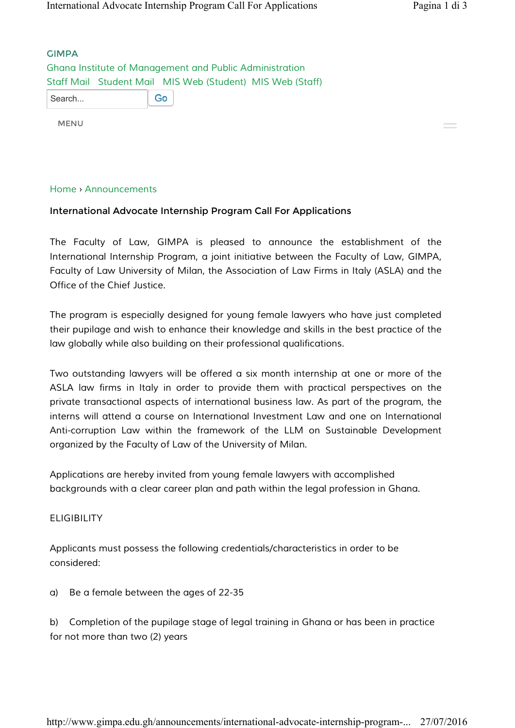GIMPA *Ghana Institute of Management and Public Administration Staff Mail Student Mail MIS Web (Student) MIS Web (Staff)* Go Search...

MENU

## *Home* › *Announcements*

## International Advocate Internship Program Call For Applications

*The Faculty of Law, GIMPA is pleased to announce the establishment of the International Internship Program, a joint initiative between the Faculty of Law, GIMPA, Faculty of Law University of Milan, the Association of Law Firms in Italy (ASLA) and the Office of the Chief Justice.*

*The program is especially designed for young female lawyers who have just completed their pupilage and wish to enhance their knowledge and skills in the best practice of the law globally while also building on their professional qualifications.*

*Two outstanding lawyers will be offered a six month internship at one or more of the ASLA law firms in Italy in order to provide them with practical perspectives on the private transactional aspects of international business law. As part of the program, the*  interns will attend a course on International Investment Law and one on International *Anti-corruption Law within the framework of the LLM on Sustainable Development organized by the Faculty of Law of the University of Milan.*

*Applications are hereby invited from young female lawyers with accomplished backgrounds with a clear career plan and path within the legal profession in Ghana.*

## *ELIGIBILITY*

*Applicants must possess the following credentials/characteristics in order to be considered:*

*a) Be a female between the ages of 22-35*

*b) Completion of the pupilage stage of legal training in Ghana or has been in practice for not more than two (2) years*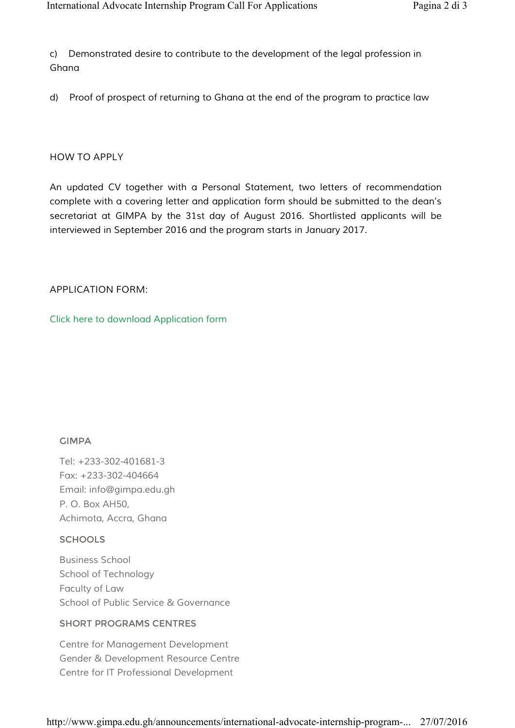*c) Demonstrated desire to contribute to the development of the legal profession in Ghana*

*d) Proof of prospect of returning to Ghana at the end of the program to practice law*

## *HOW TO APPLY*

*An updated CV together with a Personal Statement, two letters of recommendation complete with a covering letter and application form should be submitted to the dean*'*s secretariat at GIMPA by the 31st day of August 2016. Shortlisted applicants will be interviewed in September 2016 and the program starts in January 2017.*

# *APPLICATION FORM:*

*Click here to download Application form*

# GIMPA

*Tel: +233-302-401681-3 Fax: +233-302-404664 Email: info@gimpa.edu.gh P. O. Box AH50, Achimota, Accra, Ghana*

# **SCHOOLS**

*Business School School of Technology Faculty of Law School of Public Service & Governance*

# SHORT PROGRAMS CENTRES

*Centre for Management Development Gender & Development Resource Centre Centre for IT Professional Development*